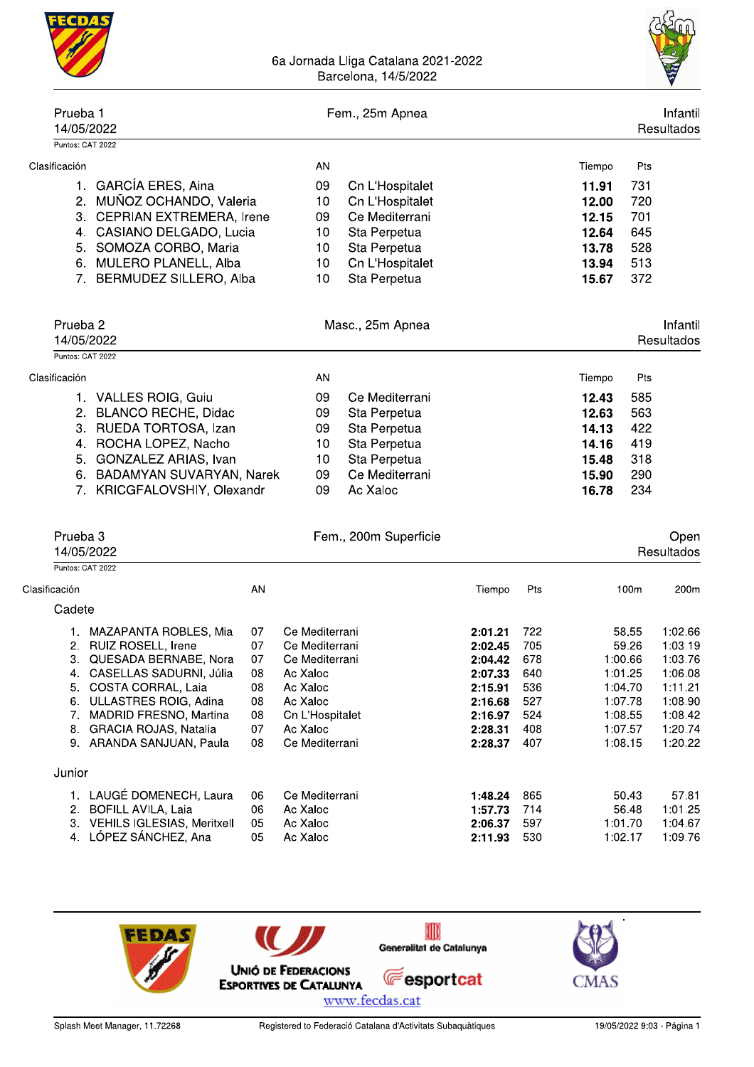

| Prueba 1<br>14/05/2022                               |          |                            | Fem., 25m Apnea       |                    |            |        |                    | Intantil<br>Resultados |
|------------------------------------------------------|----------|----------------------------|-----------------------|--------------------|------------|--------|--------------------|------------------------|
| Puntos: CAT 2022                                     |          |                            |                       |                    |            |        |                    |                        |
| Clasificación                                        |          | AN                         |                       |                    |            | Tiempo | Pts                |                        |
| 1. GARCÍA ERES, Aina                                 |          | 09                         | Cn L'Hospitalet       |                    |            | 11.91  | 731                |                        |
| MUÑOZ OCHANDO, Valeria<br>2.                         |          | 10                         | Cn L'Hospitalet       |                    |            | 12.00  | 720                |                        |
| CEPRIAN EXTREMERA, Irene<br>3.                       |          | 09                         | Ce Mediterrani        |                    |            | 12.15  | 701                |                        |
| 4. CASIANO DELGADO, Lucia                            |          | 10                         | Sta Perpetua          |                    |            | 12.64  | 645                |                        |
| 5. SOMOZA CORBO, Maria                               |          | 10                         | Sta Perpetua          |                    |            | 13.78  | 528                |                        |
| <b>MULERO PLANELL, Alba</b><br>6.                    |          | 10                         | Cn L'Hospitalet       |                    |            | 13.94  | 513                |                        |
| BERMUDEZ SILLERO, Alba<br>7.                         |          | 10                         | Sta Perpetua          |                    |            | 15.67  | 372                |                        |
| Prueba <sub>2</sub>                                  |          |                            | Masc., 25m Apnea      |                    |            |        |                    | Infantil               |
| 14/05/2022                                           |          |                            |                       |                    |            |        |                    | Resultados             |
| Puntos: CAT 2022                                     |          |                            |                       |                    |            |        |                    |                        |
| Clasificación                                        |          | <b>AN</b>                  |                       |                    |            | Tiempo | Pts                |                        |
| 1. VALLES ROIG, Guiu                                 |          | 09                         | Ce Mediterrani        |                    |            | 12.43  | 585                |                        |
| <b>BLANCO RECHE, Didac</b><br>2.                     |          | 09                         | Sta Perpetua          |                    |            | 12.63  | 563                |                        |
| 3.<br>RUEDA TORTOSA, Izan                            |          | 09                         | Sta Perpetua          |                    |            | 14.13  | 422                |                        |
| ROCHA LOPEZ, Nacho<br>4.                             |          | 10                         | Sta Perpetua          |                    |            | 14.16  | 419                |                        |
| GONZALEZ ARIAS, Ivan<br>5.                           |          | 10                         | Sta Perpetua          |                    |            | 15.48  | 318                |                        |
| BADAMYAN SUVARYAN, Narek<br>6.                       |          | 09                         | Ce Mediterrani        |                    |            | 15.90  | 290                |                        |
| KRICGFALOVSHIY, Olexandr<br>7.                       |          | 09                         | Ac Xaloc              |                    |            | 16.78  | 234                |                        |
| Prueba <sub>3</sub>                                  |          |                            | Fem., 200m Superficie |                    |            |        |                    | Open                   |
| 14/05/2022                                           |          |                            |                       |                    |            |        |                    | Resultados             |
| Puntos: CAT 2022                                     |          |                            |                       |                    |            |        |                    |                        |
| Clasificación                                        | AN       |                            |                       | Tiempo             | Pts        |        | 100m               | 200m                   |
| Cadete                                               |          |                            |                       |                    |            |        |                    |                        |
| MAZAPANTA ROBLES, Mia<br>1.                          | 07       | Ce Mediterrani             |                       | 2:01.21            | 722        |        | 58.55              | 1:02.66                |
| 2. RUIZ ROSELL, Irene                                | 07       | Ce Mediterrani             |                       | 2:02.45            | 705        |        | 59.26              | 1:03.19                |
| 3.<br>QUESADA BERNABE, Nora                          | 07       | Ce Mediterrani             |                       | 2:04.42            | 678        |        | 1:00.66            | 1:03.76                |
| 4. CASELLAS SADURNI, Júlia                           | 08       | Ac Xaloc                   |                       | 2:07.33            | 640        |        | 1:01.25            | 1:06.08                |
| COSTA CORRAL, Laia<br>5.                             | 08       | Ac Xaloc                   |                       | 2:15.91            | 536        |        | 1:04.70            | 1:11.21                |
| 6. ULLASTRES ROIG, Adina                             | 08       | Ac Xaloc                   |                       | 2:16.68            | 527        |        | 1:07.78            | 1:08.90                |
| 7. MADRID FRESNO, Martina                            | 08       | Cn L'Hospitalet            |                       | 2:16.97            | 524        |        | 1:08.55            | 1:08.42                |
| 8. GRACIA ROJAS, Natalia<br>9. ARANDA SANJUAN, Paula | 07<br>08 | Ac Xaloc<br>Ce Mediterrani |                       | 2:28.31<br>2:28.37 | 408<br>407 |        | 1:07.57<br>1:08.15 | 1:20.74<br>1:20.22     |
| Junior                                               |          |                            |                       |                    |            |        |                    |                        |
| 1. LAUGÉ DOMENECH, Laura                             | 06       | Ce Mediterrani             |                       | 1:48.24            | 865        |        | 50.43              | 57.81                  |
| 2. BOFILL AVILA, Laia                                | 06       | Ac Xaloc                   |                       | 1:57.73            | 714        |        | 56.48              | 1:01.25                |
| 3. VEHILS IGLESIAS, Meritxell                        | 05       | Ac Xaloc                   |                       | 2:06.37            | 597        |        | 1:01.70            | 1:04.67                |
| 4. LÓPEZ SÁNCHEZ, Ana                                | 05       | Ac Xaloc                   |                       | 2:11.93 530        |            |        | 1:02.17            | 1:09.76                |

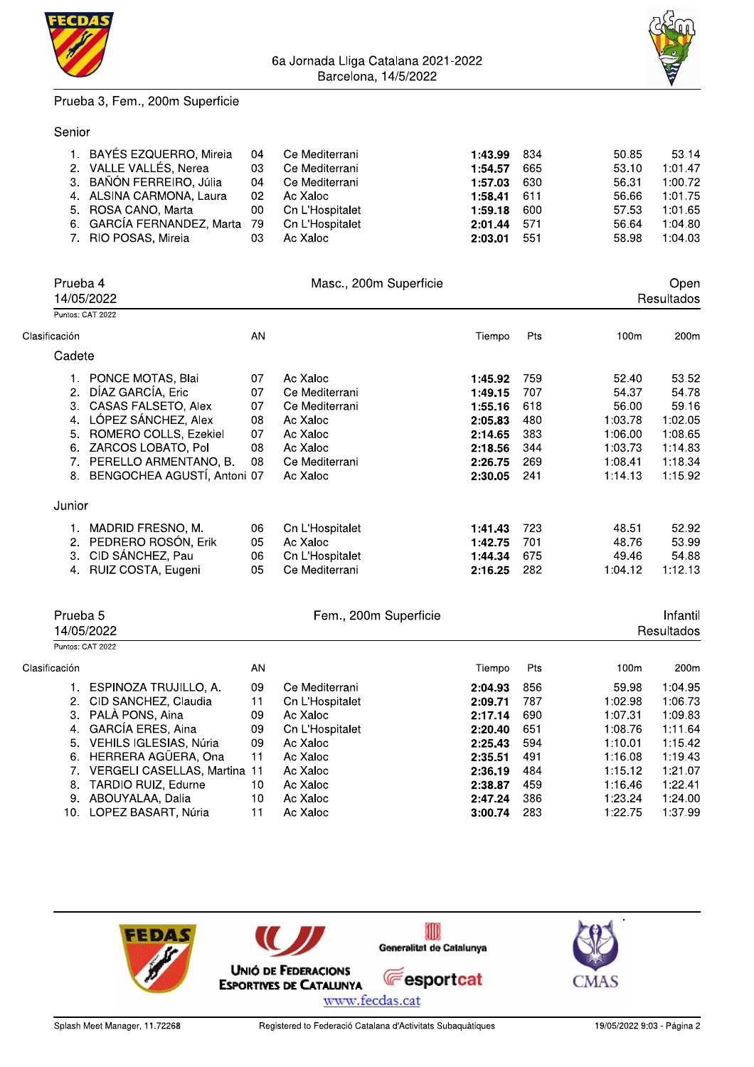



#### Prueba 3, Fem., 200m Superficie

#### Senior

|                                       |                         |    | 6a Jornada Liiga Catalana 2021-2022<br>Barcelona, 14/5/2022 |         |     |       |            |  |
|---------------------------------------|-------------------------|----|-------------------------------------------------------------|---------|-----|-------|------------|--|
| Prueba 3, Fem., 200m Superficie       |                         |    |                                                             |         |     |       |            |  |
| Senior                                |                         |    |                                                             |         |     |       |            |  |
| 1. BAYÉS EZQUERRO, Mireia             |                         | 04 | Ce Mediterrani                                              | 1:43.99 | 834 | 50.85 | 53.14      |  |
| VALLE VALLÉS, Nerea<br>2 <sub>1</sub> |                         | 03 | Ce Mediterrani                                              | 1:54.57 | 665 | 53.10 | 1:01.47    |  |
| BAÑÓN FERREIRO, Júlia<br>3.           |                         | 04 | Ce Mediterrani                                              | 1:57.03 | 630 | 56.31 | 1:00.72    |  |
| 4.                                    | ALSINA CARMONA, Laura   | 02 | Ac Xaloc                                                    | 1:58.41 | 611 | 56.66 | 1:01.75    |  |
| ROSA CANO, Marta<br>5.                |                         | 00 | Cn L'Hospitalet                                             | 1:59.18 | 600 | 57.53 | 1:01.65    |  |
| 6.                                    | GARCÍA FERNANDEZ, Marta | 79 | Cn L'Hospitalet                                             | 2:01.44 | 571 | 56.64 | 1:04.80    |  |
| RIO POSAS, Mireia<br>7.               |                         | 03 | Ac Xaloc                                                    | 2:03.01 | 551 | 58.98 | 1:04.03    |  |
| Prueba 4                              |                         |    | Masc., 200m Superficie                                      |         |     |       | Open       |  |
| 14/05/2022                            |                         |    |                                                             |         |     |       | Resultados |  |
| Puntos: CAT 2022                      |                         |    |                                                             |         |     |       |            |  |
| ación                                 |                         | AN |                                                             | Tiempo  | Pts | 100m  | 200m       |  |
| $C$ odoto                             |                         |    |                                                             |         |     |       |            |  |

|                     | Prueba 4<br>14/05/2022                                     |          | Masc., 200m Superficie            |                        |            |                             | Open<br>Resultados                                           |
|---------------------|------------------------------------------------------------|----------|-----------------------------------|------------------------|------------|-----------------------------|--------------------------------------------------------------|
|                     | Puntos: CAT 2022                                           |          |                                   |                        |            |                             |                                                              |
| Clasificación       |                                                            | AN       |                                   | Tiempo                 | Pts        | 100m                        | 200m                                                         |
| Cadete              |                                                            |          |                                   |                        |            |                             |                                                              |
|                     |                                                            |          |                                   |                        |            |                             |                                                              |
|                     | 1. PONCE MOTAS, Blai                                       | 07       | Ac Xaloc                          | 1:45.92                | 759        | 52.40                       | 53.52                                                        |
|                     | 2. DÍAZ GARCÍA, Eric                                       | 07       | Ce Mediterrani                    | 1:49.15                | 707        | 54.37                       | 54.78                                                        |
|                     | 3. CASAS FALSETO, Alex                                     | 07       | Ce Mediterrani                    | 1:55.16                | 618        | 56.00                       | 59.16                                                        |
|                     | 4. LÓPEZ SÁNCHEZ, Alex                                     | 08       | Ac Xaloc                          | 2:05.83                | 480        | 1:03.78                     | 1:02.05                                                      |
| 5.                  | ROMERO COLLS, Ezekiel                                      | 07       | Ac Xaloc                          | 2:14.65                | 383        | 1:06.00                     | 1:08.65                                                      |
|                     | 6. ZARCOS LOBATO, Pol                                      | 08       | Ac Xaloc                          | 2:18.56                | 344        | 1:03.73                     | 1:14.83                                                      |
|                     | 7. PERELLO ARMENTANO, B.                                   | 08       | Ce Mediterrani                    | 2:26.75                | 269        | 1:08.41                     | 1:18.34                                                      |
|                     | 8. BENGOCHEA AGUSTÍ, Antoni 07                             |          | Ac Xaloc                          | 2:30.05                | 241        | 1:14.13                     | 1:15.92                                                      |
|                     |                                                            |          |                                   |                        |            |                             |                                                              |
| Junior              |                                                            |          |                                   |                        |            |                             |                                                              |
|                     |                                                            |          |                                   |                        |            |                             |                                                              |
|                     | 1. MADRID FRESNO, M.                                       | 06       | Cn L'Hospitalet                   | 1:41.43                | 723        | 48.51                       |                                                              |
|                     | 2. PEDRERO ROSÓN, Erik                                     | 05       | Ac Xaloc                          | 1:42.75                | 701        | 48.76                       |                                                              |
|                     | 3. CID SÁNCHEZ, Pau<br>4. RUIZ COSTA, Eugeni               | 06<br>05 | Cn L'Hospitalet<br>Ce Mediterrani | 1:44.34<br>2:16.25     | 675<br>282 | 49.46<br>1:04.12            |                                                              |
| Prueba <sub>5</sub> |                                                            |          | Fem., 200m Superficie             |                        |            |                             |                                                              |
| Puntos: CAT 2022    | 14/05/2022                                                 |          |                                   |                        |            |                             | 52.92<br>53.99<br>54.88<br>1:12.13<br>Infantil<br>Resultados |
|                     |                                                            | AN       |                                   | Tiempo                 | Pts        | 100m                        | 200m                                                         |
|                     |                                                            |          |                                   |                        |            |                             |                                                              |
| Clasificación       | 1. ESPINOZA TRUJILLO, A.                                   | 09       | Ce Mediterrani                    | 2:04.93                | 856        | 59.98                       | 1:04.95                                                      |
|                     | 2. CID SANCHEZ, Claudia                                    | 11       | Cn L'Hospitalet                   | 2:09.71                | 787        | 1:02.98                     | 1:06.73                                                      |
|                     | 3. PALÀ PONS, Aina                                         | 09       | Ac Xaloc                          | 2:17.14                | 690        | 1:07.31                     |                                                              |
|                     | 4. GARCÍA ERES, Aina                                       | 09       | Cn L'Hospitalet                   | 2:20.40                | 651        | 1:08.76                     | 1:09.83<br>1:11.64                                           |
|                     | 5. VEHILS IGLESIAS, Núria                                  | 09       | Ac Xaloc                          | 2:25.43                | 594        | 1:10.01                     | 1:15.42                                                      |
|                     | 6. HERRERA AGÜERA, Ona                                     | 11       | Ac Xaloc                          | 2:35.51                | 491        | 1:16.08                     | 1:19.43                                                      |
|                     | 7. VERGELI CASELLAS, Martina 11                            |          | Ac Xaloc                          | 2:36.19                | 484        | 1:15.12                     | 1:21.07                                                      |
|                     | 8. TARDIO RUIZ, Edurne                                     | 10       | Ac Xaloc                          | 2:38.87                | 459        | 1:16.46                     | 1:22.41                                                      |
|                     | 9. ABOUYALAA, Dalia<br>10. LOPEZ BASART, Núria 11 Ac Xaloc | 10       | Ac Xaloc                          | 2:47.24<br>3:00.74 283 | 386        | 1:23.24<br>1:22.75  1:37.99 | 1:24.00                                                      |

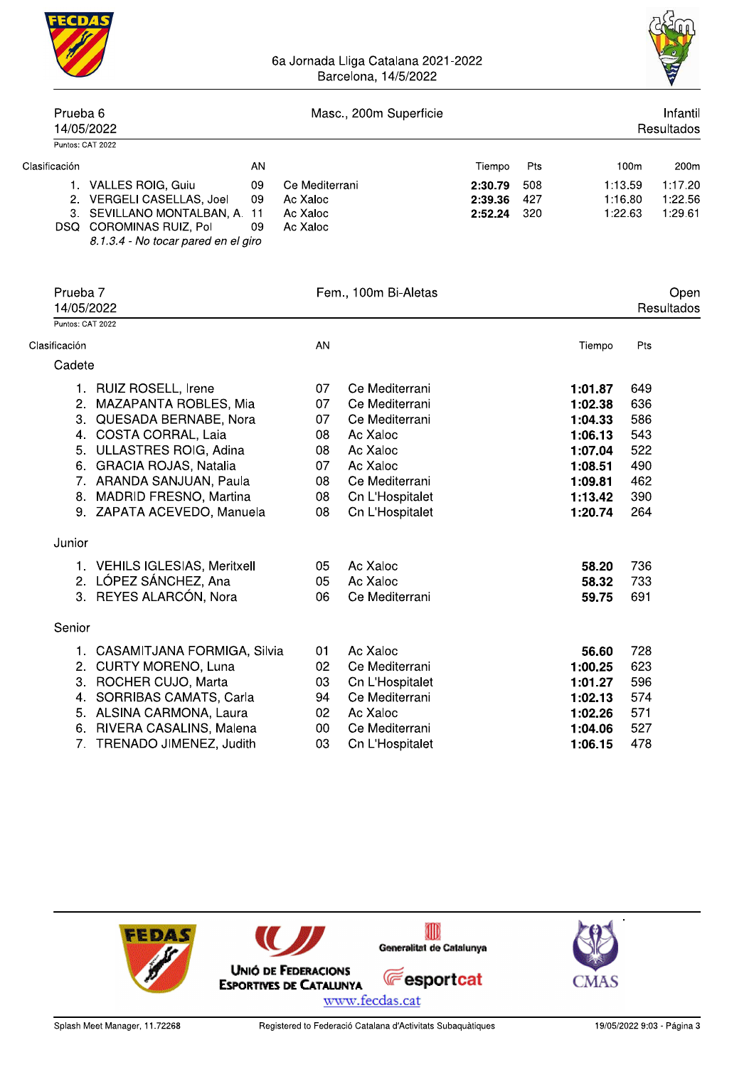

|                                   |                                                                                                                                                                        |                                                    | Barcelona, 14/5/2022 |                               |                        |         |                               | A                             |
|-----------------------------------|------------------------------------------------------------------------------------------------------------------------------------------------------------------------|----------------------------------------------------|----------------------|-------------------------------|------------------------|---------|-------------------------------|-------------------------------|
| Prueba <sub>6</sub><br>14/05/2022 | Masc., 200m Superficie                                                                                                                                                 |                                                    |                      |                               | Infantil<br>Resultados |         |                               |                               |
| Puntos: CAT 2022                  |                                                                                                                                                                        |                                                    |                      |                               |                        |         |                               |                               |
| Clasificación                     | AN                                                                                                                                                                     |                                                    |                      | Tiempo                        | Pts                    |         | 100m                          | 200m                          |
|                                   | 1. VALLES ROIG, Guiu<br>09<br>2. VERGELI CASELLAS, Joel<br>09<br>3. SEVILLANO MONTALBAN, A. 11<br>DSQ COROMINAS RUIZ, Pol<br>09<br>8.1.3.4 - No tocar pared en el giro | Ce Mediterrani<br>Ac Xaloc<br>Ac Xaloc<br>Ac Xaloc |                      | 2:30.79<br>2:39.36<br>2:52.24 | 508<br>427<br>320      |         | 1:13.59<br>1:16.80<br>1:22.63 | 1:17.20<br>1:22.56<br>1:29.61 |
| Prueba 7<br>14/05/2022            |                                                                                                                                                                        |                                                    | Fem., 100m Bi-Aletas |                               |                        |         |                               | Open<br>Resultados            |
| Puntos: CAT 2022                  |                                                                                                                                                                        |                                                    |                      |                               |                        |         |                               |                               |
| Clasificación                     |                                                                                                                                                                        | AN                                                 |                      |                               |                        | Tiempo  | Pts                           |                               |
| Cadete                            |                                                                                                                                                                        |                                                    |                      |                               |                        |         |                               |                               |
|                                   | 1. RUIZ ROSELL, Irene                                                                                                                                                  | 07                                                 | Ce Mediterrani       |                               |                        | 1:01.87 | 649                           |                               |
|                                   | 2. MAZAPANTA ROBLES, Mia                                                                                                                                               | 07                                                 | Ce Mediterrani       |                               |                        | 1:02.38 | 636                           |                               |
|                                   | 3. QUESADA BERNABE, Nora                                                                                                                                               | 07                                                 | Ce Mediterrani       |                               |                        | 1:04.33 | 586                           |                               |
|                                   | 4. COSTA CORRAL, Laia                                                                                                                                                  | 08                                                 | Ac Xaloc             |                               |                        | 1:06.13 | 543                           |                               |
|                                   | 5. ULLASTRES ROIG, Adina                                                                                                                                               | 08                                                 | Ac Xaloc             |                               |                        | 1:07.04 | 522                           |                               |
|                                   | 6. GRACIA ROJAS, Natalia                                                                                                                                               | 07                                                 | Ac Xaloc             |                               |                        | 1:08.51 | 490                           |                               |
|                                   | 7. ARANDA SANJUAN, Paula                                                                                                                                               | 08                                                 | Ce Mediterrani       |                               |                        | 1:09.81 | 462                           |                               |
|                                   | 8. MADRID FRESNO, Martina                                                                                                                                              | 08                                                 | Cn L'Hospitalet      |                               |                        | 1:13.42 | 390                           |                               |
|                                   | 9. ZAPATA ACEVEDO, Manuela                                                                                                                                             | 08                                                 | Cn L'Hospitalet      |                               |                        | 1:20.74 | 264                           |                               |
| Junior                            |                                                                                                                                                                        |                                                    |                      |                               |                        |         |                               |                               |
|                                   | 1. VEHILS IGLESIAS, Meritxell                                                                                                                                          | 05                                                 | Ac Xaloc             |                               |                        | 58.20   | 736                           |                               |
|                                   | 2. LÓPEZ SÁNCHEZ, Ana                                                                                                                                                  | 05                                                 | Ac Xaloc             |                               |                        | 58.32   | 733                           |                               |
|                                   | 3. REYES ALARCÓN, Nora                                                                                                                                                 | 06                                                 | Ce Mediterrani       |                               |                        | 59.75   | 691                           |                               |
| Senior                            |                                                                                                                                                                        |                                                    |                      |                               |                        |         |                               |                               |
| 1.                                | CASAMITJANA FORMIGA, Silvia                                                                                                                                            | 01                                                 | Ac Xaloc             |                               |                        | 56.60   | 728                           |                               |
|                                   | 2. CURTY MORENO, Luna                                                                                                                                                  | 02                                                 | Ce Mediterrani       |                               |                        | 1:00.25 | 623                           |                               |
|                                   | 3. ROCHER CUJO, Marta                                                                                                                                                  | 03                                                 | Cn L'Hospitalet      |                               |                        | 1:01.27 | 596                           |                               |
|                                   | 4. SORRIBAS CAMATS, Carla                                                                                                                                              | 94                                                 | Ce Mediterrani       |                               |                        | 1:02.13 | 574                           |                               |
|                                   | 5. ALSINA CARMONA, Laura                                                                                                                                               | 02                                                 | Ac Xaloc             |                               |                        | 1:02.26 | 571                           |                               |
|                                   | 6. RIVERA CASALINS, Malena                                                                                                                                             | $00\,$                                             | Ce Mediterrani       |                               |                        | 1:04.06 | 527                           |                               |
|                                   | 7. TRENADO JIMENEZ, Judith                                                                                                                                             | 03                                                 | Cn L'Hospitalet      |                               |                        | 1:06.15 | 478                           |                               |

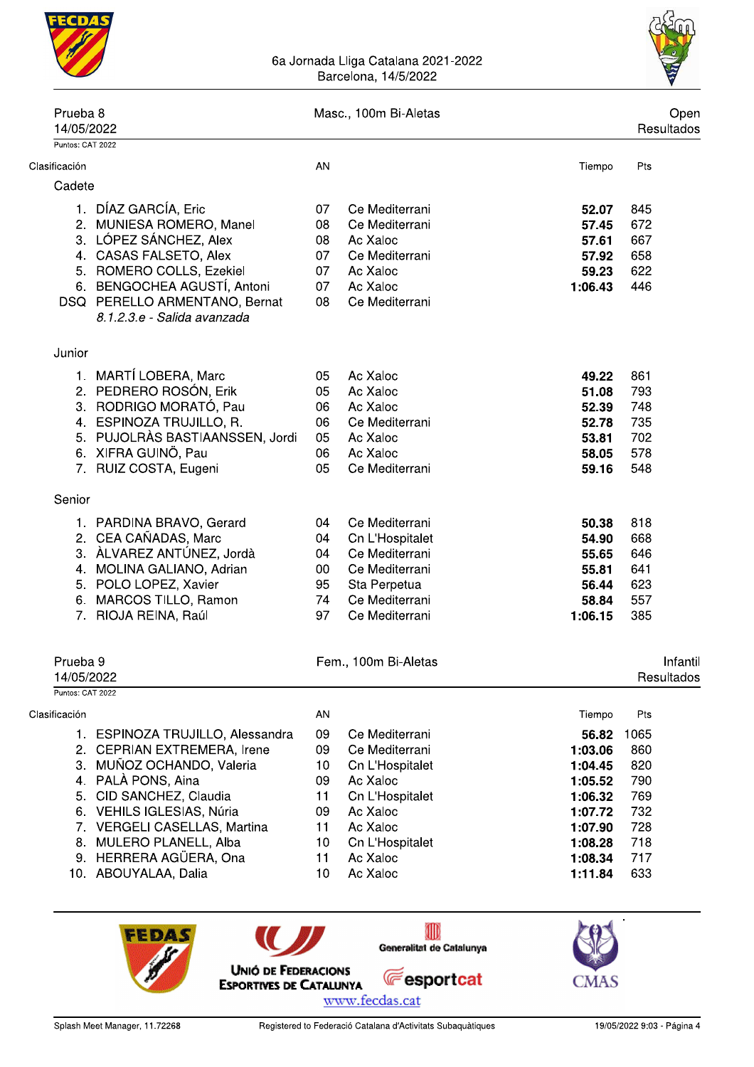



| Prueba <sub>8</sub><br>14/05/2022 |                                                                                                                                                                                                                                                                                         |                                                                | Masc., 100m Bi-Aletas                                                                                                                                 |                                                                                                                    |                                                                            |  |  |  |
|-----------------------------------|-----------------------------------------------------------------------------------------------------------------------------------------------------------------------------------------------------------------------------------------------------------------------------------------|----------------------------------------------------------------|-------------------------------------------------------------------------------------------------------------------------------------------------------|--------------------------------------------------------------------------------------------------------------------|----------------------------------------------------------------------------|--|--|--|
| Puntos: CAT 2022                  |                                                                                                                                                                                                                                                                                         |                                                                |                                                                                                                                                       |                                                                                                                    |                                                                            |  |  |  |
| Clasificación                     |                                                                                                                                                                                                                                                                                         | AN                                                             |                                                                                                                                                       | Tiempo                                                                                                             | Pts                                                                        |  |  |  |
| Cadete                            |                                                                                                                                                                                                                                                                                         |                                                                |                                                                                                                                                       |                                                                                                                    |                                                                            |  |  |  |
|                                   | 1. DÍAZ GARCÍA, Eric<br>2. MUNIESA ROMERO, Manel                                                                                                                                                                                                                                        | 07<br>08                                                       | Ce Mediterrani<br>Ce Mediterrani                                                                                                                      | 52.07<br>57.45                                                                                                     | 845<br>672                                                                 |  |  |  |
|                                   | 3. LÓPEZ SÁNCHEZ, Alex<br>4. CASAS FALSETO, Alex<br>5. ROMERO COLLS, Ezekiel<br>6. BENGOCHEA AGUSTÍ, Antoni<br>DSQ PERELLO ARMENTANO, Bernat<br>8.1.2.3.e - Salida avanzada                                                                                                             | 08<br>07<br>07<br>07<br>08                                     | Ac Xaloc<br>Ce Mediterrani<br>Ac Xaloc<br>Ac Xaloc<br>Ce Mediterrani                                                                                  | 57.61<br>57.92<br>59.23<br>1:06.43                                                                                 | 667<br>658<br>622<br>446                                                   |  |  |  |
| Junior                            |                                                                                                                                                                                                                                                                                         |                                                                |                                                                                                                                                       |                                                                                                                    |                                                                            |  |  |  |
|                                   | 1. MARTÍ LOBERA, Marc<br>2. PEDRERO ROSÓN, Erik<br>3. RODRIGO MORATÓ, Pau<br>4. ESPINOZA TRUJILLO, R.<br>5. PUJOLRÀS BASTIAANSSEN, Jordi<br>6. XIFRA GUINÖ, Pau<br>7. RUIZ COSTA, Eugeni                                                                                                | 05<br>05<br>06<br>06<br>05<br>06<br>05                         | Ac Xaloc<br>Ac Xaloc<br>Ac Xaloc<br>Ce Mediterrani<br>Ac Xaloc<br>Ac Xaloc<br>Ce Mediterrani                                                          | 49.22<br>51.08<br>52.39<br>52.78<br>53.81<br>58.05<br>59.16                                                        | 861<br>793<br>748<br>735<br>702<br>578<br>548                              |  |  |  |
| Senior                            |                                                                                                                                                                                                                                                                                         |                                                                |                                                                                                                                                       |                                                                                                                    |                                                                            |  |  |  |
| 4.<br>6.<br>7.                    | 1. PARDINA BRAVO, Gerard<br>2. CEA CAÑADAS, Marc<br>3. ALVAREZ ANTÚNEZ, Jordà<br>MOLINA GALIANO, Adrian<br>5. POLO LOPEZ, Xavier<br>MARCOS TILLO, Ramon<br>RIOJA REINA, Raúl                                                                                                            | 04<br>04<br>04<br>$00\,$<br>95<br>74<br>97                     | Ce Mediterrani<br>Cn L'Hospitalet<br>Ce Mediterrani<br>Ce Mediterrani<br>Sta Perpetua<br>Ce Mediterrani<br>Ce Mediterrani                             | 50.38<br>54.90<br>55.65<br>55.81<br>56.44<br>58.84<br>1:06.15                                                      | 818<br>668<br>646<br>641<br>623<br>557<br>385                              |  |  |  |
| Prueba <sub>9</sub><br>14/05/2022 |                                                                                                                                                                                                                                                                                         |                                                                | Fem., 100m Bi-Aletas                                                                                                                                  |                                                                                                                    | Infanti<br>Resultados                                                      |  |  |  |
| Puntos: CAT 2022                  |                                                                                                                                                                                                                                                                                         |                                                                |                                                                                                                                                       |                                                                                                                    |                                                                            |  |  |  |
| Clasificación                     | 1. ESPINOZA TRUJILLO, Alessandra<br>2. CEPRIAN EXTREMERA, Irene<br>3. MUÑOZ OCHANDO, Valeria<br>4. PALÀ PONS, Aina<br>5. CID SANCHEZ, Claudia<br>6. VEHILS IGLESIAS, Núria<br>7. VERGELI CASELLAS, Martina<br>8. MULERO PLANELL, Alba<br>9. HERRERA AGÜERA, Ona<br>10. ABOUYALAA, Dalia | AN<br>09<br>09<br>10<br>09<br>11<br>09<br>11<br>10<br>11<br>10 | Ce Mediterrani<br>Ce Mediterrani<br>Cn L'Hospitalet<br>Ac Xaloc<br>Cn L'Hospitalet<br>Ac Xaloc<br>Ac Xaloc<br>Cn L'Hospitalet<br>Ac Xaloc<br>Ac Xaloc | Tiempo<br>56.82<br>1:03.06<br>1:04.45<br>1:05.52<br>1:06.32<br>1:07.72<br>1:07.90<br>1:08.28<br>1:08.34<br>1:11.84 | Pts<br>1065<br>860<br>820<br>790<br>769<br>732<br>728<br>718<br>717<br>633 |  |  |  |

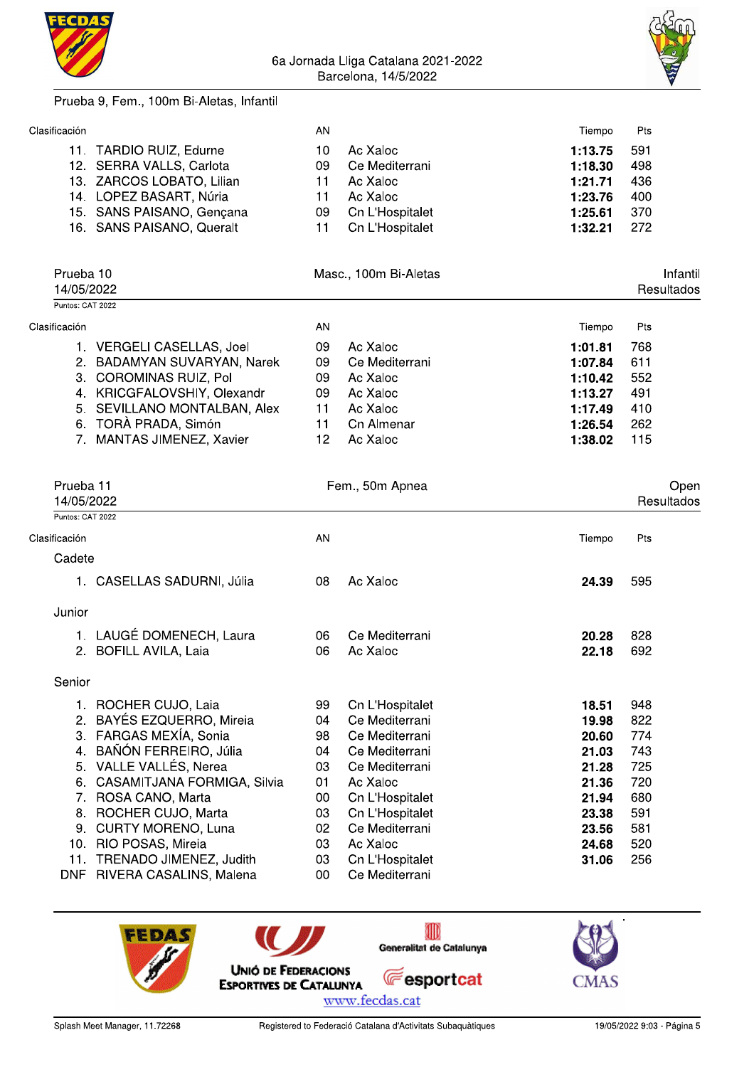



#### Prueba 9. Fem., 100m Bi-Aletas, Infantil

|                                        | Tiempo  | Pts |
|----------------------------------------|---------|-----|
| Ac Xaloc                               | 1:13.75 | 591 |
| Ce Mediterrani                         | 1:18.30 | 498 |
| Ac Xaloc                               | 1:21.71 | 436 |
| Ac Xaloc                               | 1:23.76 | 400 |
| Cn L'Hospitalet                        | 1:25.61 | 370 |
| Cn L'Hospitalet                        | 1:32.21 | 272 |
| AN<br>10<br>09<br>11<br>11<br>09<br>11 |         |     |

|                  | Prueba 10<br>14/05/2022      |    |                |         |     |  |  |  |  |  |  |  | Masc., 100m Bi-Aletas |  | Infantil<br>Resultados |
|------------------|------------------------------|----|----------------|---------|-----|--|--|--|--|--|--|--|-----------------------|--|------------------------|
| Puntos: CAT 2022 |                              |    |                |         |     |  |  |  |  |  |  |  |                       |  |                        |
| Clasificación    |                              | AN |                | Tiempo  | Pts |  |  |  |  |  |  |  |                       |  |                        |
|                  | VERGELI CASELLAS, Joel       | 09 | Ac Xaloc       | 1:01.81 | 768 |  |  |  |  |  |  |  |                       |  |                        |
|                  | 2. BADAMYAN SUVARYAN, Narek  | 09 | Ce Mediterrani | 1:07.84 | 611 |  |  |  |  |  |  |  |                       |  |                        |
|                  | 3. COROMINAS RUIZ, Pol       | 09 | Ac Xaloc       | 1:10.42 | 552 |  |  |  |  |  |  |  |                       |  |                        |
|                  | 4. KRICGFALOVSHIY, Olexandr  | 09 | Ac Xaloc       | 1:13.27 | 491 |  |  |  |  |  |  |  |                       |  |                        |
|                  | 5. SEVILLANO MONTALBAN, Alex | 11 | Ac Xaloc       | 1:17.49 | 410 |  |  |  |  |  |  |  |                       |  |                        |
|                  | 6. TORÀ PRADA, Simón         | 11 | Cn Almenar     | 1:26.54 | 262 |  |  |  |  |  |  |  |                       |  |                        |
|                  | 7. MANTAS JIMENEZ, Xavier    | 12 | Ac Xaloc       | 1:38.02 | 115 |  |  |  |  |  |  |  |                       |  |                        |

| Prueba 11                      |                               |    | Fem., 50m Apnea |        | Open       |
|--------------------------------|-------------------------------|----|-----------------|--------|------------|
| 14/05/2022<br>Puntos: CAT 2022 |                               |    |                 |        | Resultados |
| Clasificación                  |                               | AN |                 | Tiempo | Pts        |
| Cadete                         |                               |    |                 |        |            |
|                                | 1. CASELLAS SADURNI, Júlia    | 08 | Ac Xaloc        | 24.39  | 595        |
| Junior                         |                               |    |                 |        |            |
|                                | 1. LAUGÉ DOMENECH, Laura      | 06 | Ce Mediterrani  | 20.28  | 828        |
|                                | 2. BOFILL AVILA, Laia         | 06 | Ac Xaloc        | 22.18  | 692        |
| Senior                         |                               |    |                 |        |            |
|                                | 1. ROCHER CUJO, Laia          | 99 | Cn L'Hospitalet | 18.51  | 948        |
| 2.                             | <b>BAYÉS EZQUERRO, Mireia</b> | 04 | Ce Mediterrani  | 19.98  | 822        |
|                                | 3. FARGAS MEXÍA, Sonia        | 98 | Ce Mediterrani  | 20.60  | 774        |
| 4.                             | BAÑÓN FERREIRO, Júlia         | 04 | Ce Mediterrani  | 21.03  | 743        |
|                                | 5. VALLE VALLÉS, Nerea        | 03 | Ce Mediterrani  | 21.28  | 725        |
| 6.                             | CASAMITJANA FORMIGA, Silvia   | 01 | Ac Xaloc        | 21.36  | 720        |
| 7.                             | ROSA CANO, Marta              | 00 | Cn L'Hospitalet | 21.94  | 680        |
| 8.                             | ROCHER CUJO, Marta            | 03 | Cn L'Hospitalet | 23.38  | 591        |
| 9.                             | <b>CURTY MORENO, Luna</b>     | 02 | Ce Mediterrani  | 23.56  | 581        |
|                                | 10. RIO POSAS, Mireia         | 03 | Ac Xaloc        | 24.68  | 520        |
| 11.                            | TRENADO JIMENEZ, Judith       | 03 | Cn L'Hospitalet | 31.06  | 256        |
| DNF                            | RIVERA CASALINS, Malena       | 00 | Ce Mediterrani  |        |            |

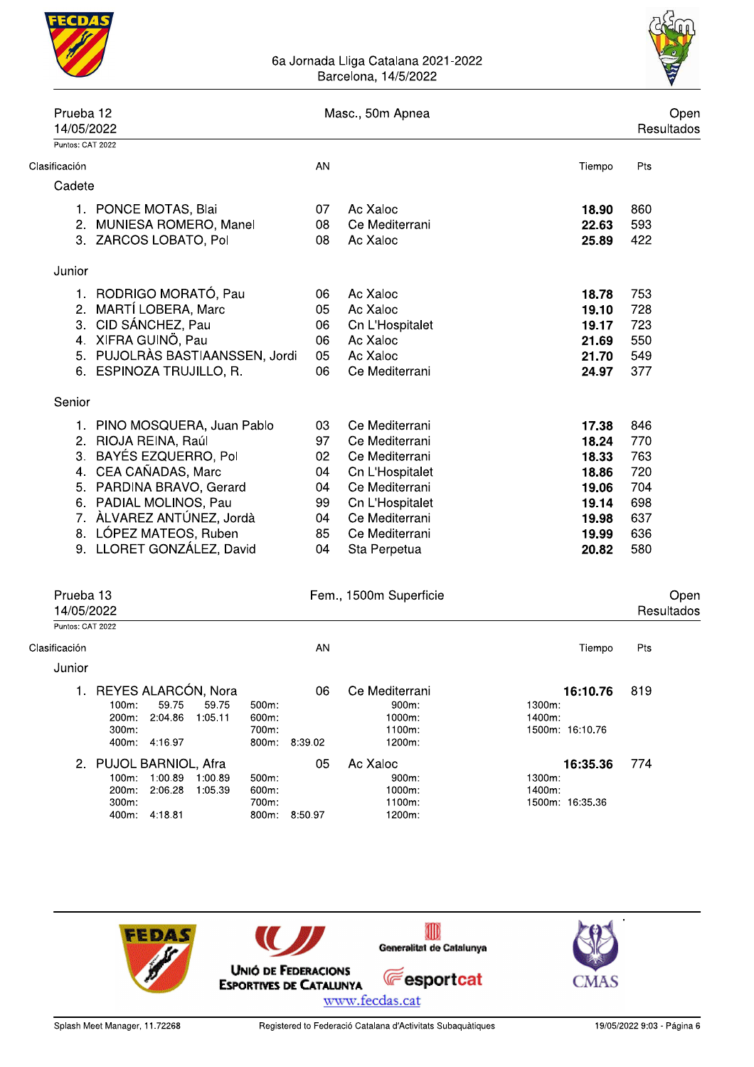



| Prueba 12<br>14/05/2022                     |                                                                                                                                                                                                                                               |                                                     | Masc., 50m Apnea                                                                                                                                               |                                                                               |                                                             |  |  |
|---------------------------------------------|-----------------------------------------------------------------------------------------------------------------------------------------------------------------------------------------------------------------------------------------------|-----------------------------------------------------|----------------------------------------------------------------------------------------------------------------------------------------------------------------|-------------------------------------------------------------------------------|-------------------------------------------------------------|--|--|
| Puntos: CAT 2022                            |                                                                                                                                                                                                                                               |                                                     |                                                                                                                                                                |                                                                               |                                                             |  |  |
| Clasificación                               |                                                                                                                                                                                                                                               | AN                                                  |                                                                                                                                                                | Tiempo                                                                        | Pts                                                         |  |  |
| Cadete                                      |                                                                                                                                                                                                                                               |                                                     |                                                                                                                                                                |                                                                               |                                                             |  |  |
| 2 <sup>1</sup>                              | 1. PONCE MOTAS, Blai<br>MUNIESA ROMERO, Manel<br>3. ZARCOS LOBATO, Pol                                                                                                                                                                        | 07<br>08<br>08                                      | Ac Xaloc<br>Ce Mediterrani<br>Ac Xaloc                                                                                                                         | 18.90<br>22.63<br>25.89                                                       | 860<br>593<br>422                                           |  |  |
| Junior                                      |                                                                                                                                                                                                                                               |                                                     |                                                                                                                                                                |                                                                               |                                                             |  |  |
| 2.<br>3.                                    | 1. RODRIGO MORATÓ, Pau<br>MARTÍ LOBERA, Marc<br>CID SÁNCHEZ, Pau<br>4. XIFRA GUINÖ, Pau<br>5. PUJOLRÀS BASTIAANSSEN, Jordi<br>6. ESPINOZA TRUJILLO, R.                                                                                        | 06<br>05<br>06<br>06<br>05<br>06                    | Ac Xaloc<br>Ac Xaloc<br>Cn L'Hospitalet<br>Ac Xaloc<br>Ac Xaloc<br>Ce Mediterrani                                                                              | 18.78<br>19.10<br>19.17<br>21.69<br>21.70<br>24.97                            | 753<br>728<br>723<br>550<br>549<br>377                      |  |  |
| Senior                                      |                                                                                                                                                                                                                                               |                                                     |                                                                                                                                                                |                                                                               |                                                             |  |  |
| 3.                                          | 1. PINO MOSQUERA, Juan Pablo<br>2. RIOJA REINA, Raúl<br>BAYÉS EZQUERRO, Pol<br>4. CEA CAÑADAS, Marc<br>5. PARDINA BRAVO, Gerard<br>6. PADIAL MOLINOS, Pau<br>7. ÀLVAREZ ANTÚNEZ, Jordà<br>8. LÓPEZ MATEOS, Ruben<br>9. LLORET GONZÁLEZ, David | 03<br>97<br>02<br>04<br>04<br>99<br>04<br>85<br>04  | Ce Mediterrani<br>Ce Mediterrani<br>Ce Mediterrani<br>Cn L'Hospitalet<br>Ce Mediterrani<br>Cn L'Hospitalet<br>Ce Mediterrani<br>Ce Mediterrani<br>Sta Perpetua | 17.38<br>18.24<br>18.33<br>18.86<br>19.06<br>19.14<br>19.98<br>19.99<br>20.82 | 846<br>770<br>763<br>720<br>704<br>698<br>637<br>636<br>580 |  |  |
| Prueba 13<br>14/05/2022                     |                                                                                                                                                                                                                                               |                                                     | Fem., 1500m Superficie                                                                                                                                         |                                                                               | Open<br>Resultados                                          |  |  |
| Puntos: CAT 2022<br>Clasificación<br>Junior |                                                                                                                                                                                                                                               | AN                                                  |                                                                                                                                                                | Tiempo                                                                        | Pts                                                         |  |  |
|                                             | 1. REYES ALARCÓN, Nora<br>59.75<br>$100m$ :<br>59.75<br>200m: 2:04.86<br>1:05.11<br>300m:<br>400m: 4:16.97                                                                                                                                    | 06<br>500m<br>600m:<br>700m:<br>$800m$ :<br>8:39.02 | Ce Mediterrani<br>900m.<br>1000m:<br>1100m:<br>1200m:                                                                                                          | 16:10.76<br>1300m:<br>1400m:<br>1500m: 16:10.76                               | 819                                                         |  |  |
|                                             | 2. PUJOL BARNIOL, Afra<br>100m: 1:00.89 1:00.89<br>2:06.28<br>1:05.39<br>200m:<br>300m:                                                                                                                                                       | 05<br>500m:<br>600m:<br>700m:                       | Ac Xaloc<br>900m:<br>1000m:<br>1100m:                                                                                                                          | 16:35.36<br>1300m:<br>1400m:<br>1500m: 16:35.36                               | 774                                                         |  |  |



1200m:

800m: 8:50.97

400m: 4:18.81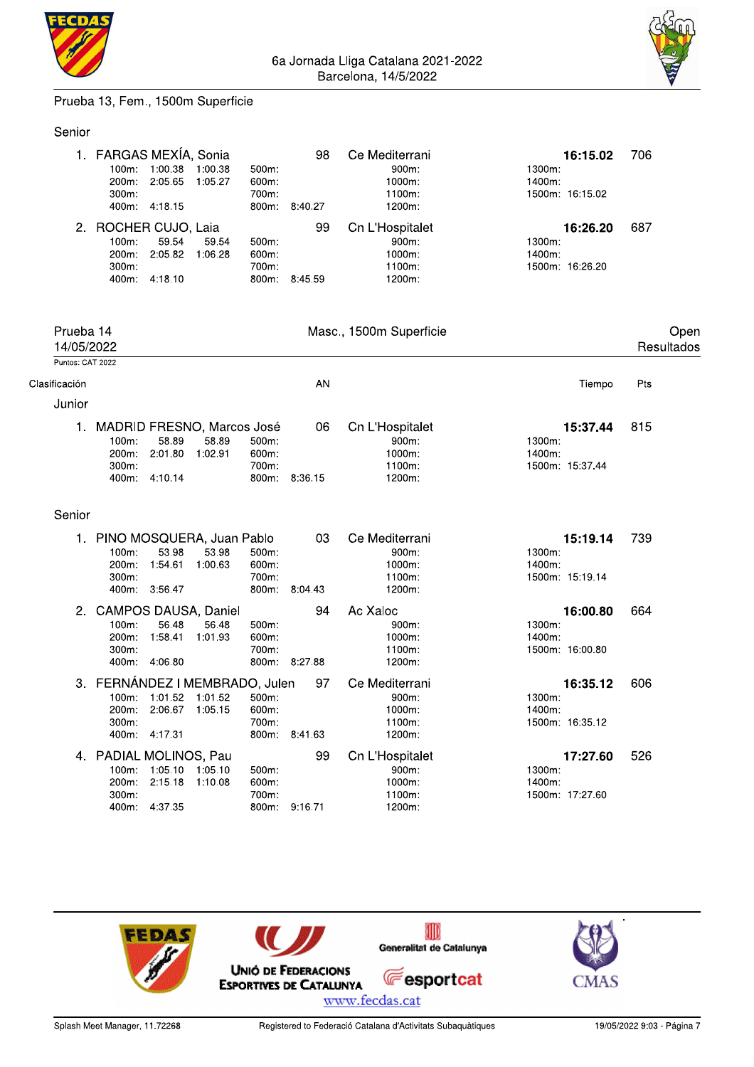



#### Prueba 13, Fem., 1500m Superficie

#### Senior

| 1. FARGAS MEXÍA, Sonia<br>100m:<br>200m:<br>$300m$ :        | 1:00.38<br>2:05.65<br>400m: 4:18.15 | 1:00.38<br>1:05.27 | 500m.<br>600m:<br>700m:<br>800m:       | 98<br>8:40.27           | Ce Mediterrani<br>$900m$ :<br>1000m:<br>1100m:<br>1200m:    | 1300m:<br>1400m: | 16:15.02<br>1500m: 16:15.02 | 706 |
|-------------------------------------------------------------|-------------------------------------|--------------------|----------------------------------------|-------------------------|-------------------------------------------------------------|------------------|-----------------------------|-----|
| 2. ROCHER CUJO, Laia<br>100m:<br>200m:<br>$300m$ :<br>400m: | 59.54<br>2:05.82<br>4:18.10         | 59.54<br>1:06.28   | $500m$ :<br>$600m$ :<br>700m:<br>800m: | 99<br>8:45.59           | Cn L'Hospitalet<br>$900m$ :<br>$1000m$ :<br>1100m<br>1200m: | 1300m:<br>1400m: | 16:26.20<br>1500m: 16:26.20 | 687 |
| Prueba 14<br>14/05/2022<br>Puntos: CAT 2022                 |                                     |                    |                                        | Masc., 1500m Superficie |                                                             |                  | Open<br>Resultados          |     |
| ificación                                                   |                                     |                    |                                        | AN                      |                                                             |                  | Tiempo                      | Pts |

#### Clasificación

Junior

| . |                               |                       |       |          |               |                    |                 |       |
|---|-------------------------------|-----------------------|-------|----------|---------------|--------------------|-----------------|-------|
|   | 1. MADRID FRESNO, Marcos José |                       |       |          |               | 06 Cn L'Hospitalet | 15:37.44        | - 815 |
|   | 100m:                         | 58.89                 | 58.89 | $500m$ : |               | $900m$ :           | 1300m:          |       |
|   |                               | 200m: 2:01.80 1:02.91 |       | 600m.    |               | 1000m.             | 1400m:          |       |
|   | $300m$ :                      |                       |       | 700m:    |               | 1100m:             | 1500m: 15:37.44 |       |
|   |                               | 400m: 4:10.14         |       |          | 800m: 8:36.15 | 1200m:             |                 |       |
|   |                               |                       |       |          |               |                    |                 |       |

#### Senior

|    | PINO MOSQUERA, Juan Pablo   |         |          | 03      | Ce Mediterrani          | 15:19.14        | 739 |
|----|-----------------------------|---------|----------|---------|-------------------------|-----------------|-----|
|    | $100m$ :<br>53.98           | 53.98   | 500m:    |         | 900m:                   | 1300m:          |     |
|    | 200m:<br>1:54.61            | 1:00.63 | 600m:    |         | 1000m:                  | 1400m:          |     |
|    | $300m$ :                    |         | 700m:    |         | 1100m:                  | 1500m: 15:19.14 |     |
|    | 400m: 3:56.47               |         | 800m:    | 8:04.43 | 1200m:                  |                 |     |
| 2. | <b>CAMPOS DAUSA, Daniel</b> |         |          | 94      | Ac Xaloc                | 16:00.80        | 664 |
|    | 56.48<br>$100m$ :           | 56.48   | $500m$ : |         | $900m$ :                | 1300m:          |     |
|    | 200m:<br>1:58.41            | 1:01.93 | 600m:    |         | 1000m:                  | 1400m:          |     |
|    | 300m:                       |         | 700m:    |         | 1100m:                  | 1500m: 16:00.80 |     |
|    | 4:06.80<br>400m:            |         | 800m:    | 8:27.88 | 1200m:                  |                 |     |
|    |                             |         |          |         |                         |                 |     |
| 3. | FERNÁNDEZ I MEMBRADO, Julen |         |          | - 97    | Ce Mediterrani          | 16:35.12        | 606 |
|    | $100m$ :<br>1:01.52         | 1:01.52 | 500m:    |         | 900m:                   | $1300m$ :       |     |
|    | 200m:<br>2:06.67            | 1:05.15 | 600m     |         | $1000m$ :               | 1400m:          |     |
|    | 300m:                       |         | 700m:    |         | 1100m:                  | 1500m: 16:35.12 |     |
|    | 400m:<br>4:17.31            |         | 800m:    | 8:41.63 | 1200m:                  |                 |     |
|    | 4. PADIAL MOLINOS, Pau      |         |          | 99      |                         | 17:27.60        | 526 |
|    | 1:05.10<br>$100m$ :         | 1:05.10 | 500m     |         | Cn L'Hospitalet<br>900m | 1300m:          |     |
|    | 2:15.18<br>$200m$ :         | 1:10.08 | 600m:    |         | $1000m$ :               | 1400m:          |     |
|    | $300m$ :                    |         | 700m:    |         | 1100m:                  | 1500m: 17:27.60 |     |

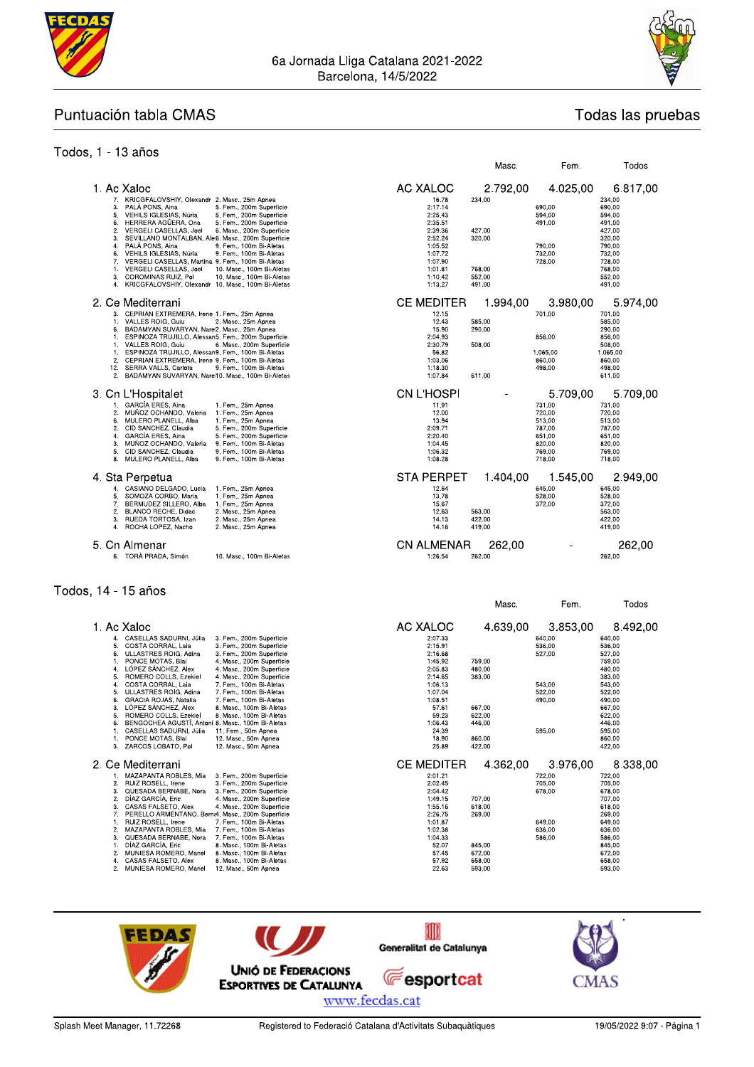



Todas las pruebas

Todos

Masc.

Fem.

#### Puntuación tabla CMAS

#### Todos, 1 - 13 años

| 1. Ac Xaloc<br>7. KRICGFALOVSHIY, Olexandr 2. Masc., 25m Apnea                                                                                                                          |                                                                                                               | AC XALOC<br>16.78                                   | 2.792,00<br>234,00 | 4.025,00                     | 6.817.00<br>234.00                             |
|-----------------------------------------------------------------------------------------------------------------------------------------------------------------------------------------|---------------------------------------------------------------------------------------------------------------|-----------------------------------------------------|--------------------|------------------------------|------------------------------------------------|
| PALA PONS, Aina<br>3.<br>5.<br>VEHILS IGLESIAS, Núria<br>HERRERA AGÜERA, Ona<br>6.<br>$\mathbf{2}$<br>VERGELI CASELLAS, Joel<br>3.<br>SEVILLANO MONTALBAN, Ale6. Masc., 200m Superficie | 5. Fem., 200m Superficie<br>5. Fem., 200m Superficie<br>5. Fem., 200m Superficie<br>6. Masc., 200m Superficie | 2:17.14<br>2:25.43<br>2:35.51<br>2:39.36<br>2:52.24 | 427,00<br>320,00   | 690.00<br>594.00<br>491.00   | 690,00<br>594,00<br>491.00<br>427,00<br>320,00 |
| PALÀ PONS, Aina<br>4.<br>6.<br>VEHILS IGLESIAS, Núria<br>7.<br>VERGELI CASELLAS, Martina 9. Fem., 100m Bi-Aletas<br>VERGELI CASELLAS, Joel<br>1.<br>COROMINAS RUIZ, Pol<br>3.           | 9. Fem., 100m Bi-Aletas<br>9. Fem., 100m Bi-Aletas<br>10. Masc., 100m Bi-Aletas<br>10. Masc., 100m Bi-Aletas  | 1:05.52<br>1:07.72<br>1:07.90<br>1:01.81<br>1:10.42 | 768,00<br>552,00   | 790.00<br>732.00<br>728.00   | 790,00<br>732,00<br>728,00<br>768,00<br>552,00 |
| KRICGFALOVSHIY, Olexandr 10. Masc., 100m Bi-Aletas<br>4.                                                                                                                                |                                                                                                               | 1:13.27                                             | 491.00             |                              | 491,00                                         |
| 2. Ce Mediterrani                                                                                                                                                                       |                                                                                                               | <b>CE MEDITER</b>                                   | 1.994,00           | 3.980,00                     | 5.974,00                                       |
| CEPRIAN EXTREMERA, Irene 1, Fem., 25m Apnea<br>3.<br>VALLES ROIG, Guiu<br>1.<br>BADAMYAN SUVARYAN, Nare2. Masc., 25m Apnea<br>6.                                                        | 2. Masc., 25m Apnea                                                                                           | 12.15<br>12.43<br>15.90                             | 585.00<br>290,00   | 701,00                       | 701.00<br>585.00<br>290,00                     |
| ESPINOZA TRUJILLO, Alessan5. Fem., 200m Superficie<br>1.<br>VALLES ROIG, Guiu<br>1.                                                                                                     | 6. Masc., 200m Superficie                                                                                     | 2:04.93<br>2:30.79                                  | 508.00             | 856,00                       | 856,00<br>508,00                               |
| ESPINOZA TRUJILLO, Alessan9, Fem., 100m Bi-Aletas<br>1.<br>2.<br>CEPRIAN EXTREMERA, Irene 9. Fem., 100m Bi-Aletas<br>12. SERRA VALLS, Carlota                                           | 9. Fem., 100m Bi-Aletas                                                                                       | 56.82<br>1:03.06<br>1:18.30                         |                    | 1.065.00<br>860,00<br>498,00 | 1.065,00<br>860,00<br>498,00                   |
| BADAMYAN SUVARYAN, Nare 10. Masc., 100m Bi-Aletas<br>$\overline{2}$ .                                                                                                                   |                                                                                                               | 1:07.84                                             | 611.00             |                              | 611.00                                         |
| 3. Cn L'Hospitalet                                                                                                                                                                      |                                                                                                               | CN L'HOSPI                                          |                    | 5.709,00                     | 5.709.00                                       |
| GARCÍA ERES, Aina<br>1.<br>2.<br>MUNOZ OCHANDO, Valeria                                                                                                                                 | 1. Fem., 25m Apnea<br>1. Fem., 25m Apnea                                                                      | 11.91<br>12.00                                      |                    | 731,00<br>720,00             | 731,00<br>720,00                               |
| MULERO PLANELL, Alba<br>6.<br>CID SANCHEZ, Claudia<br>2.                                                                                                                                | 1. Fem., 25m Apnea<br>5. Fem., 200m Superficie                                                                | 13.94<br>2:09.71                                    |                    | 513,00<br>787,00             | 513.00<br>787,00                               |
| <b>GARCÍA ERES, Aina</b><br>4.<br>3.<br>MUÑOZ OCHANDO, Valeria                                                                                                                          | 5. Fem., 200m Superficie<br>9. Fem., 100m Bi-Aletas                                                           | 2:20.40<br>1:04.45                                  |                    | 651.00<br>820,00             | 651.00<br>820,00                               |
| 5.<br>CID SANCHEZ, Claudia<br>8.<br>MULERO PLANELL, Alba                                                                                                                                | 9. Fem., 100m Bi-Aletas<br>9. Fem., 100m Bi-Aletas                                                            | 1:06.32<br>1:08.28                                  |                    | 769,00<br>718,00             | 769,00<br>718,00                               |
| 4. Sta Perpetua                                                                                                                                                                         |                                                                                                               | STA PERPET                                          | 1.404.00           | 1.545,00                     | 2.949.00                                       |
| CASIANO DELGADO, Lucia<br>4.<br>5.<br>SOMOZA CORBO, Maria<br>7.<br>BERMUDEZ SILLERO, Alba<br>2.<br>BLANCO RECHE, Didac                                                                  | 1. Fem., 25m Apnea<br>1. Fem., 25m Apnea<br>1. Fem., 25m Apnea<br>2. Masc., 25m Apnea                         | 12.64<br>13.78<br>15.67<br>12.63                    | 563.00             | 645.00<br>528,00<br>372,00   | 645,00<br>528,00<br>372,00<br>563.00           |
| 3.<br>RUEDA TORTOSA, Izan<br>4. ROCHA LOPEZ, Nacho                                                                                                                                      | 2. Masc., 25m Apnea<br>2. Masc., 25m Apnea                                                                    | 14.13<br>14.16                                      | 422.00<br>419.00   |                              | 422.00<br>419.00                               |
| 5. Cn Almenar                                                                                                                                                                           |                                                                                                               | <b>CN ALMENAR</b>                                   | 262,00             |                              | 262,00                                         |
| 6. TORÀ PRADA. Simón                                                                                                                                                                    | 10. Masc., 100m Bi-Aletas                                                                                     | 1:26.54                                             | 262,00             |                              | 262,00                                         |

#### Todos, 14 - 15 años

|                                                                                                                                                                                                                                                                                                                                                                                                                                                                                                                                                                                                                                                                                                                                                                                                                                                               |                                                                                                                                                         | Masc.                                                                        | Fem.                                                               | Todos                                                                                                                                              |
|---------------------------------------------------------------------------------------------------------------------------------------------------------------------------------------------------------------------------------------------------------------------------------------------------------------------------------------------------------------------------------------------------------------------------------------------------------------------------------------------------------------------------------------------------------------------------------------------------------------------------------------------------------------------------------------------------------------------------------------------------------------------------------------------------------------------------------------------------------------|---------------------------------------------------------------------------------------------------------------------------------------------------------|------------------------------------------------------------------------------|--------------------------------------------------------------------|----------------------------------------------------------------------------------------------------------------------------------------------------|
| 1. Ac Xaloc                                                                                                                                                                                                                                                                                                                                                                                                                                                                                                                                                                                                                                                                                                                                                                                                                                                   | AC XALOC                                                                                                                                                | 4.639.00                                                                     | 3.853,00                                                           | 8.492,00                                                                                                                                           |
| CASELLAS SADURNI, Júlia<br>3. Fem., 200m Superficie<br>4.<br>COSTA CORRAL, Laia<br>3. Fem., 200m Superficie<br>5<br>6.<br>ULLASTRES ROIG, Adina<br>3. Fem., 200m Superficie<br>PONCE MOTAS, Blai<br>4. Masc., 200m Superficie<br>LÓPEZ SÁNCHEZ. Alex<br>4. Masc., 200m Superficie<br>4.<br>ROMERO COLLS, Ezekiel<br>4. Masc., 200m Superficie<br>5.<br>COSTA CORRAL, Laia<br>7. Fem., 100m Bi-Aletas<br>4<br>ULLASTRES ROIG. Adina<br>7. Fem., 100m Bi-Aletas<br>5.<br>GRACIA ROJAS, Natalia<br>7. Fem., 100m Bi-Aletas<br>6.<br>LÓPEZ SÁNCHEZ, Alex<br>3<br>8. Masc., 100m Bi-Aletas<br>ROMERO COLLS, Ezekiel<br>5<br>8. Masc., 100m Bi-Aletas<br>BENGOCHEA AGUSTÍ, Antoni 8. Masc., 100m Bi-Aletas<br>6.<br>CASELLAS SADURNI, Júlia<br>11. Fem., 50m Apnea<br>PONCE MOTAS, Blai<br>12. Masc., 50m Apnea<br>3.<br>ZARCOS LOBATO. Pol<br>12. Masc., 50m Apnea | 2:07.33<br>2:15.91<br>2:16.68<br>1:45.92<br>2:05.83<br>2:14.65<br>1:06.13<br>1:07.04<br>1:08.51<br>57.61<br>59.23<br>1:06.43<br>24.39<br>18.90<br>25.89 | 759.00<br>480,00<br>383,00<br>667,00<br>622.00<br>446,00<br>860,00<br>422,00 | 640,00<br>536.00<br>527.00<br>543.00<br>522.00<br>490,00<br>595.00 | 640.00<br>536.00<br>527.00<br>759.00<br>480,00<br>383,00<br>543.00<br>522,00<br>490.00<br>667.00<br>622.00<br>446,00<br>595.00<br>860,00<br>422.00 |
| 2. Ce Mediterrani                                                                                                                                                                                                                                                                                                                                                                                                                                                                                                                                                                                                                                                                                                                                                                                                                                             | <b>CE MEDITER</b>                                                                                                                                       | 4.362.00                                                                     | 3.976,00                                                           | 8.338,00                                                                                                                                           |
| MAZAPANTA ROBLES, Mia<br>3. Fem., 200m Superficie<br>RUIZ ROSELL, Irene<br>2.<br>3. Fem., 200m Superficie<br>QUESADA BERNABE, Nora<br>3. Fem., 200m Superficie<br>3<br>DÍAZ GARCÍA. Eric<br>2<br>4. Masc., 200m Superficie<br>CASAS FALSETO. Alex<br>4. Masc., 200m Superficie<br>3.<br>PERELLO ARMENTANO, Berna4. Masc., 200m Superficie<br>RUIZ ROSELL, Irene<br>7. Fem., 100m Bi-Aletas<br>MAZAPANTA ROBLES, Mia<br>7. Fem., 100m Bi-Aletas<br>2.<br>3.<br>QUESADA BERNABE, Nora<br>7. Fem., 100m Bi-Aletas<br>DÍAZ GARCÍA. Eric<br>8. Masc., 100m Bi-Aletas<br>MUNIESA ROMERO, Manel<br>8. Masc., 100m Bi-Aletas<br>2.<br>CASAS FALSETO, Alex<br>8. Masc., 100m Bi-Aletas<br>2.<br>MUNIESA ROMERO, Manel<br>12. Masc., 50m Apnea                                                                                                                          | 2:01.21<br>2:02.45<br>2:04.42<br>1:49.15<br>1:55.16<br>2:26.75<br>1:01.87<br>1:02.38<br>1:04.33<br>52.07<br>57.45<br>57.92<br>22.63                     | 707,00<br>618.00<br>269.00<br>845.00<br>672.00<br>658,00<br>593,00           | 722.00<br>705.00<br>678.00<br>649.00<br>636.00<br>586.00           | 722,00<br>705.00<br>678.00<br>707.00<br>618.00<br>269.00<br>649.00<br>636.00<br>586.00<br>845.00<br>672.00<br>658.00<br>593.00                     |

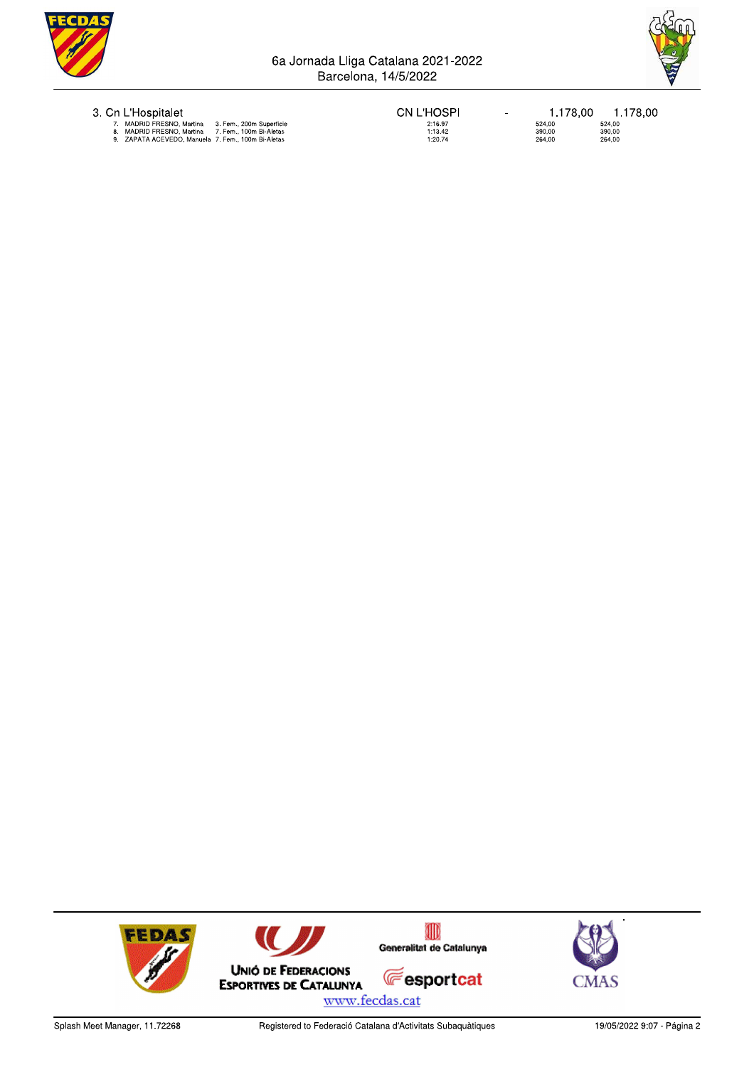



|  | 3. Cn L'Hospitalet |  |
|--|--------------------|--|
|  |                    |  |

**CN L'HOSPI** 2:16.97<br>1:13.42<br>1:20.74

 $\overline{\phantom{a}}$ 

1.178,00 1.178,00  $524,00$ <br>390,00<br>264,00  $524,00$ <br> $390,00$ <br> $264,00$ 

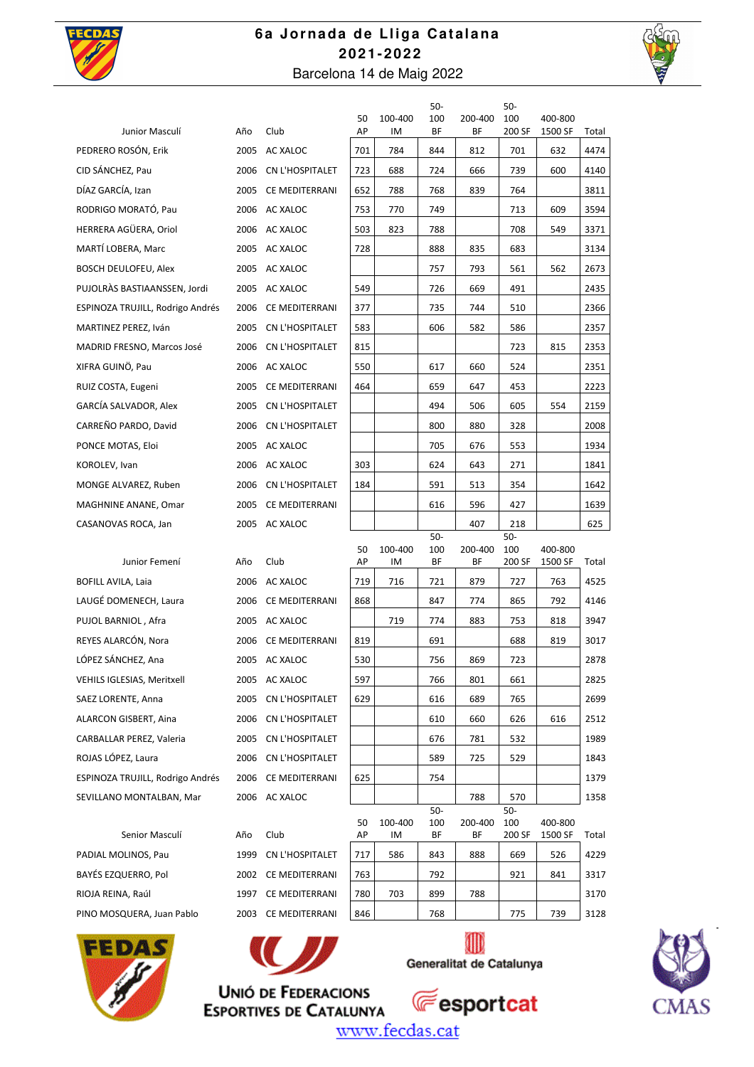

### **6a Jornada de Lliga Catalana 2 02 1-2 02 2**  Barcelona 14 de Maig 2022

50-

50-



| Junior Masculí                   | Año  | Club                 | 50<br>AP | 100-400<br>IM | َں<br>100<br><b>BF</b> | 200-400<br>ΒF | JU<br>100<br>200 SF | 400-800<br>1500 SF | Total |
|----------------------------------|------|----------------------|----------|---------------|------------------------|---------------|---------------------|--------------------|-------|
| PEDRERO ROSÓN, Erik              |      | 2005 AC XALOC        | 701      | 784           | 844                    | 812           | 701                 | 632                | 4474  |
| CID SÁNCHEZ, Pau                 | 2006 | CN L'HOSPITALET      | 723      | 688           | 724                    | 666           | 739                 | 600                | 4140  |
| DÍAZ GARCÍA, Izan                | 2005 | CE MEDITERRANI       | 652      | 788           | 768                    | 839           | 764                 |                    | 3811  |
| RODRIGO MORATÓ, Pau              |      | 2006 AC XALOC        | 753      | 770           | 749                    |               | 713                 | 609                | 3594  |
| HERRERA AGÜERA, Oriol            |      | 2006 AC XALOC        | 503      | 823           | 788                    |               | 708                 | 549                | 3371  |
| MARTÍ LOBERA, Marc               | 2005 | AC XALOC             | 728      |               | 888                    | 835           | 683                 |                    | 3134  |
| BOSCH DEULOFEU, Alex             |      | 2005 AC XALOC        |          |               | 757                    | 793           | 561                 | 562                | 2673  |
| PUJOLRÀS BASTIAANSSEN, Jordi     |      | 2005 AC XALOC        | 549      |               | 726                    | 669           | 491                 |                    | 2435  |
| ESPINOZA TRUJILL, Rodrigo Andrés | 2006 | CE MEDITERRANI       | 377      |               | 735                    | 744           | 510                 |                    | 2366  |
| MARTINEZ PEREZ, Iván             | 2005 | CN L'HOSPITALET      | 583      |               | 606                    | 582           | 586                 |                    | 2357  |
| MADRID FRESNO, Marcos José       | 2006 | CN L'HOSPITALET      | 815      |               |                        |               | 723                 | 815                | 2353  |
| XIFRA GUINO, Pau                 |      | 2006 AC XALOC        | 550      |               | 617                    | 660           | 524                 |                    | 2351  |
| RUIZ COSTA, Eugeni               | 2005 | CE MEDITERRANI       | 464      |               | 659                    | 647           | 453                 |                    | 2223  |
| GARCÍA SALVADOR, Alex            |      | 2005 CN L'HOSPITALET |          |               | 494                    | 506           | 605                 | 554                | 2159  |
| CARREÑO PARDO, David             | 2006 | CN L'HOSPITALET      |          |               | 800                    | 880           | 328                 |                    | 2008  |
| PONCE MOTAS, Eloi                | 2005 | AC XALOC             |          |               | 705                    | 676           | 553                 |                    | 1934  |
| KOROLEV, Ivan                    |      | 2006 AC XALOC        | 303      |               | 624                    | 643           | 271                 |                    | 1841  |
| MONGE ALVAREZ, Ruben             |      | 2006 CN L'HOSPITALET | 184      |               | 591                    | 513           | 354                 |                    | 1642  |
| MAGHNINE ANANE, Omar             |      | 2005 CE MEDITERRANI  |          |               | 616                    | 596           | 427                 |                    | 1639  |
| CASANOVAS ROCA, Jan              |      | 2005 AC XALOC        |          |               |                        | 407           | 218                 |                    | 625   |
|                                  |      |                      | 50       | 100-400       | $50-$<br>100           | 200-400       | $50-$<br>100        | 400-800            |       |
| Junior Femení                    | Año  | Club                 | АP       | IM            | ΒF                     | ΒF            | 200 SF              | 1500 SF            | Total |
| <b>BOFILL AVILA, Laia</b>        | 2006 | AC XALOC             | 719      | 716           | 721                    | 879           | 727                 | 763                | 4525  |
| LAUGÉ DOMENECH, Laura            | 2006 | CE MEDITERRANI       | 868      |               | 847                    | 774           | 865                 | 792                | 4146  |
| PUJOL BARNIOL, Afra              |      | 2005 AC XALOC        |          | 719           | 774                    | 883           | 753                 | 818                | 3947  |
| REYES ALARCÓN, Nora              |      | 2006 CE MEDITERRANI  | 819      |               | 691                    |               | 688                 | 819                | 3017  |
| LÓPEZ SÁNCHEZ, Ana               |      | 2005 AC XALOC        | 530      |               | 756                    | 869           | 723                 |                    | 2878  |
| VEHILS IGLESIAS, Meritxell       |      | 2005 AC XALOC        | 597      |               | 766                    | 801           | 661                 |                    | 2825  |
| SAEZ LORENTE, Anna               | 2005 | CN L'HOSPITALET      | 629      |               | 616                    | 689           | 765                 |                    | 2699  |
| ALARCON GISBERT, Aina            |      | 2006 CN L'HOSPITALET |          |               | 610                    | 660           | 626                 | 616                | 2512  |
| CARBALLAR PEREZ, Valeria         |      | 2005 CN L'HOSPITALET |          |               | 676                    | 781           | 532                 |                    | 1989  |
| ROJAS LÓPEZ, Laura               |      | 2006 CN L'HOSPITALET |          |               | 589                    | 725           | 529                 |                    | 1843  |
| ESPINOZA TRUJILL, Rodrigo Andrés |      | 2006 CE MEDITERRANI  | 625      |               | 754                    |               |                     |                    | 1379  |
| SEVILLANO MONTALBAN, Mar         |      | 2006 AC XALOC        |          |               |                        | 788           | 570                 |                    | 1358  |
|                                  |      |                      | 50       | 100-400       | $50-$<br>100           | 200-400       | $50 -$<br>100       | 400-800            |       |
| Senior Masculí                   | Año  | Club                 | АP       | IM            | BF                     | ΒF            | 200 SF              | 1500 SF            | Total |
| PADIAL MOLINOS, Pau              | 1999 | CN L'HOSPITALET      | 717      | 586           | 843                    | 888           | 669                 | 526                | 4229  |
| BAYÉS EZQUERRO, Pol              |      | 2002 CE MEDITERRANI  | 763      |               | 792                    |               | 921                 | 841                | 3317  |
| RIOJA REINA, Raúl                |      | 1997 CE MEDITERRANI  | 780      | 703           | 899                    | 788           |                     |                    | 3170  |
| PINO MOSQUERA, Juan Pablo        |      | 2003 CE MEDITERRANI  | 846      |               | 768                    |               | 775                 | 739                | 3128  |





**ESPORTIVES DE CATALUNYA** 

▥ Generalitat de Catalunya



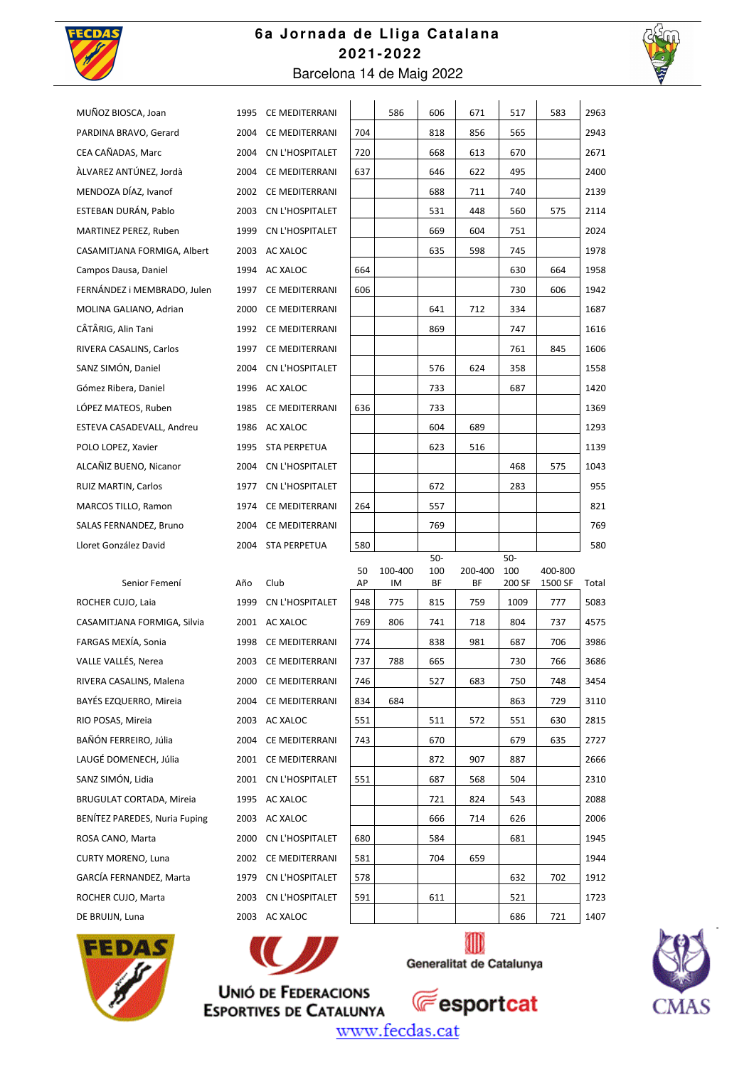

### **6a Jornada de Lliga Catalana 2 02 1-2 02 2**  Barcelona 14 de Maig 2022



| MUÑOZ BIOSCA, Joan                   |     | 1995 CE MEDITERRANI  |     | 586     | 606        | 671     | 517        | 583     | 2963  |
|--------------------------------------|-----|----------------------|-----|---------|------------|---------|------------|---------|-------|
| PARDINA BRAVO, Gerard                |     | 2004 CE MEDITERRANI  | 704 |         | 818        | 856     | 565        |         | 2943  |
| CEA CAÑADAS, Marc                    |     | 2004 CN L'HOSPITALET | 720 |         | 668        | 613     | 670        |         | 2671  |
| ÀLVAREZ ANTÚNEZ, Jordà               |     | 2004 CE MEDITERRANI  | 637 |         | 646        | 622     | 495        |         | 2400  |
| MENDOZA DÍAZ. Ivanof                 |     | 2002 CE MEDITERRANI  |     |         | 688        | 711     | 740        |         | 2139  |
| ESTEBAN DURÁN, Pablo                 |     | 2003 CN L'HOSPITALET |     |         | 531        | 448     | 560        | 575     | 2114  |
| MARTINEZ PEREZ, Ruben                |     | 1999 CN L'HOSPITALET |     |         | 669        | 604     | 751        |         | 2024  |
| CASAMITJANA FORMIGA, Albert          |     | 2003 AC XALOC        |     |         | 635        | 598     | 745        |         | 1978  |
| Campos Dausa, Daniel                 |     | 1994 AC XALOC        | 664 |         |            |         | 630        | 664     | 1958  |
| FERNÁNDEZ i MEMBRADO, Julen          |     | 1997 CE MEDITERRANI  | 606 |         |            |         | 730        | 606     | 1942  |
| MOLINA GALIANO, Adrian               |     | 2000 CE MEDITERRANI  |     |         | 641        | 712     | 334        |         | 1687  |
| CÂTÂRIG, Alin Tani                   |     | 1992 CE MEDITERRANI  |     |         | 869        |         | 747        |         | 1616  |
| RIVERA CASALINS, Carlos              |     | 1997 CE MEDITERRANI  |     |         |            |         | 761        | 845     | 1606  |
| SANZ SIMÓN, Daniel                   |     | 2004 CN L'HOSPITALET |     |         | 576        | 624     | 358        |         | 1558  |
| Gómez Ribera, Daniel                 |     | 1996 AC XALOC        |     |         | 733        |         | 687        |         | 1420  |
| LÓPEZ MATEOS, Ruben                  |     | 1985 CE MEDITERRANI  | 636 |         | 733        |         |            |         | 1369  |
| ESTEVA CASADEVALL, Andreu            |     | 1986 AC XALOC        |     |         | 604        | 689     |            |         | 1293  |
| POLO LOPEZ, Xavier                   |     | 1995 STA PERPETUA    |     |         | 623        | 516     |            |         | 1139  |
| ALCAÑIZ BUENO, Nicanor               |     | 2004 CN L'HOSPITALET |     |         |            |         | 468        | 575     | 1043  |
| RUIZ MARTIN, Carlos                  |     | 1977 CN L'HOSPITALET |     |         | 672        |         | 283        |         | 955   |
| MARCOS TILLO, Ramon                  |     | 1974 CE MEDITERRANI  | 264 |         | 557        |         |            |         | 821   |
| SALAS FERNANDEZ, Bruno               |     | 2004 CE MEDITERRANI  |     |         | 769        |         |            |         | 769   |
| Lloret González David                |     | 2004 STA PERPETUA    | 580 |         |            |         |            |         | 580   |
|                                      |     |                      | 50  | 100-400 | 50-<br>100 | 200-400 | 50-<br>100 | 400-800 |       |
| Senior Femení                        | Año | Club                 | AP  | IM      | ΒF         | ΒF      | 200 SF     | 1500 SF | Total |
| ROCHER CUJO, Laia                    |     | 1999 CN L'HOSPITALET | 948 | 775     | 815        | 759     | 1009       | 777     | 5083  |
| CASAMITJANA FORMIGA, Silvia          |     | 2001 AC XALOC        | 769 | 806     | 741        | 718     | 804        | 737     | 4575  |
| FARGAS MEXÍA, Sonia                  |     | 1998 CE MEDITERRANI  | 774 |         | 838        | 981     | 687        | 706     | 3986  |
| VALLE VALLÉS, Nerea                  |     | 2003 CE MEDITERRANI  | 737 | 788     | 665        |         | 730        | 766     | 3686  |
| RIVERA CASALINS, Malena              |     | 2000 CE MEDITERRANI  | 746 |         | 527        | 683     | 750        | 748     | 3454  |
| BAYÉS EZQUERRO, Mireia               |     | 2004 CE MEDITERRANI  | 834 | 684     |            |         | 863        | 729     | 3110  |
| RIO POSAS, Mireia                    |     | 2003 AC XALOC        | 551 |         | 511        | 572     | 551        | 630     | 2815  |
| BAÑÓN FERREIRO, Júlia                |     | 2004 CE MEDITERRANI  | 743 |         | 670        |         | 679        | 635     | 2727  |
| LAUGÉ DOMENECH, Júlia                |     | 2001 CE MEDITERRANI  |     |         | 872        | 907     | 887        |         | 2666  |
| SANZ SIMÓN, Lidia                    |     | 2001 CN L'HOSPITALET | 551 |         | 687        | 568     | 504        |         | 2310  |
| BRUGULAT CORTADA, Mireia             |     | 1995 AC XALOC        |     |         | 721        | 824     | 543        |         | 2088  |
| <b>BENÍTEZ PAREDES, Nuria Fuping</b> |     | 2003 AC XALOC        |     |         | 666        | 714     | 626        |         | 2006  |
| ROSA CANO, Marta                     |     | 2000 CN L'HOSPITALET | 680 |         | 584        |         | 681        |         | 1945  |
| <b>CURTY MORENO, Luna</b>            |     | 2002 CE MEDITERRANI  | 581 |         | 704        | 659     |            |         | 1944  |
| GARCÍA FERNANDEZ, Marta              |     | 1979 CN L'HOSPITALET | 578 |         |            |         | 632        | 702     | 1912  |
| ROCHER CUJO, Marta                   |     | 2003 CN L'HOSPITALET | 591 |         | 611        |         | 521        |         | 1723  |
| DE BRUIJN, Luna                      |     | 2003 AC XALOC        |     |         |            |         | 686        | 721     | 1407  |
|                                      |     |                      |     |         |            |         |            |         |       |



**UNIÓ DE FEDERACIONS** 



 $\rlap{1}$ 



www.fecdas.cat